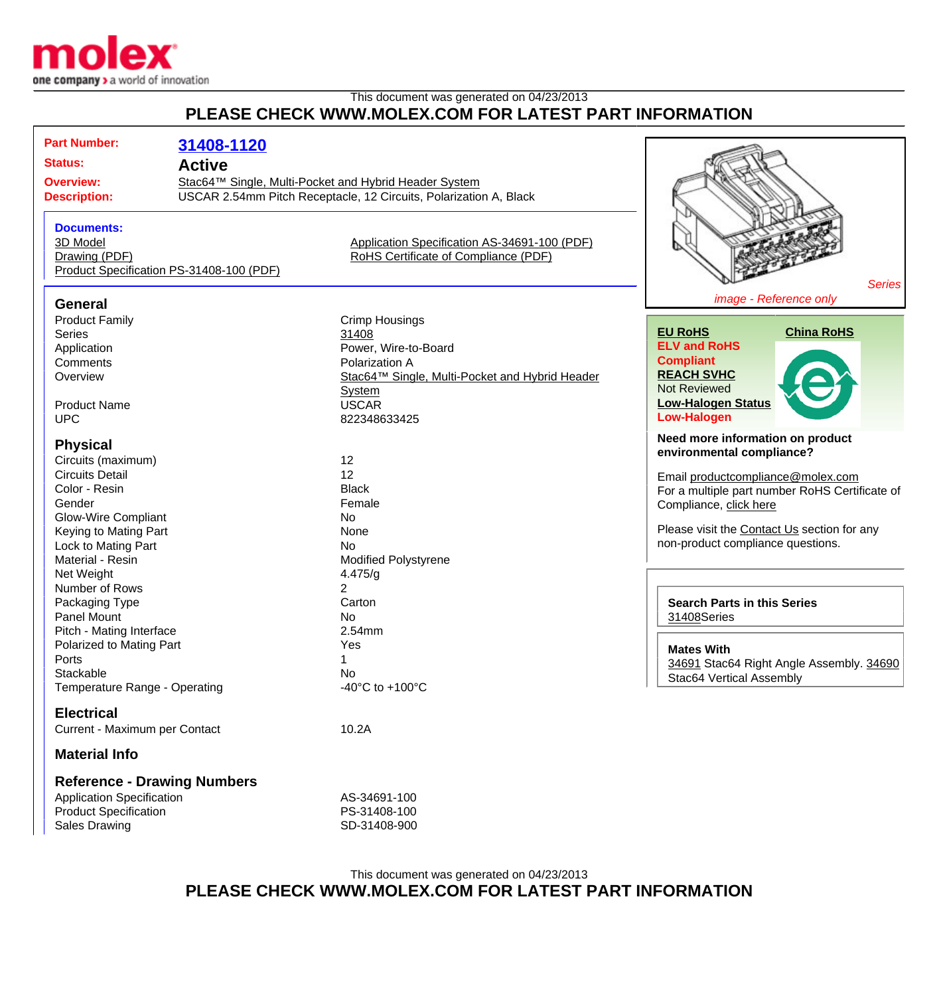

## This document was generated on 04/23/2013 **PLEASE CHECK WWW.MOLEX.COM FOR LATEST PART INFORMATION**

| <b>Part Number:</b><br><b>Status:</b><br><b>Overview:</b><br><b>Description:</b>                                                                                                                           | 31408-1120<br><b>Active</b><br>Stac64™ Single, Multi-Pocket and Hybrid Header System | USCAR 2.54mm Pitch Receptacle, 12 Circuits, Polarization A, Black                                                                                                           |                                                                                                                                                                                                                                                                    |
|------------------------------------------------------------------------------------------------------------------------------------------------------------------------------------------------------------|--------------------------------------------------------------------------------------|-----------------------------------------------------------------------------------------------------------------------------------------------------------------------------|--------------------------------------------------------------------------------------------------------------------------------------------------------------------------------------------------------------------------------------------------------------------|
| <b>Documents:</b><br>3D Model<br>Drawing (PDF)<br>Product Specification PS-31408-100 (PDF)                                                                                                                 |                                                                                      | Application Specification AS-34691-100 (PDF)<br>RoHS Certificate of Compliance (PDF)                                                                                        | <b>Series</b>                                                                                                                                                                                                                                                      |
| <b>General</b>                                                                                                                                                                                             |                                                                                      |                                                                                                                                                                             | image - Reference only                                                                                                                                                                                                                                             |
| <b>Product Family</b><br><b>Series</b><br>Application<br>Comments<br>Overview<br><b>Product Name</b><br><b>UPC</b>                                                                                         |                                                                                      | <b>Crimp Housings</b><br>31408<br>Power, Wire-to-Board<br>Polarization A<br>Stac64™ Single, Multi-Pocket and Hybrid Header<br><b>System</b><br><b>USCAR</b><br>822348633425 | <b>EU RoHS</b><br><b>China RoHS</b><br><b>ELV and RoHS</b><br><b>Compliant</b><br><b>REACH SVHC</b><br><b>Not Reviewed</b><br><b>Low-Halogen Status</b><br><b>Low-Halogen</b>                                                                                      |
| <b>Physical</b><br>Circuits (maximum)<br><b>Circuits Detail</b><br>Color - Resin<br>Gender<br><b>Glow-Wire Compliant</b><br>Keying to Mating Part<br>Lock to Mating Part<br>Material - Resin<br>Net Weight |                                                                                      | 12<br>12<br><b>Black</b><br>Female<br>No<br>None<br>No<br><b>Modified Polystyrene</b><br>4.475/g                                                                            | Need more information on product<br>environmental compliance?<br>Email productcompliance@molex.com<br>For a multiple part number RoHS Certificate of<br>Compliance, click here<br>Please visit the Contact Us section for any<br>non-product compliance questions. |
| Number of Rows<br>Packaging Type<br><b>Panel Mount</b>                                                                                                                                                     |                                                                                      | 2<br>Carton<br><b>No</b>                                                                                                                                                    | <b>Search Parts in this Series</b><br>31408Series                                                                                                                                                                                                                  |
| Pitch - Mating Interface<br>Polarized to Mating Part<br>Ports<br>Stackable<br>Temperature Range - Operating                                                                                                |                                                                                      | 2.54mm<br>Yes<br>No<br>-40 $^{\circ}$ C to +100 $^{\circ}$ C                                                                                                                | <b>Mates With</b><br>34691 Stac64 Right Angle Assembly. 34690<br>Stac64 Vertical Assembly                                                                                                                                                                          |
| <b>Electrical</b>                                                                                                                                                                                          |                                                                                      |                                                                                                                                                                             |                                                                                                                                                                                                                                                                    |
| Current - Maximum per Contact                                                                                                                                                                              |                                                                                      | 10.2A                                                                                                                                                                       |                                                                                                                                                                                                                                                                    |
| <b>Material Info</b>                                                                                                                                                                                       |                                                                                      |                                                                                                                                                                             |                                                                                                                                                                                                                                                                    |
| <b>Reference - Drawing Numbers</b><br><b>Application Specification</b><br><b>Product Specification</b>                                                                                                     |                                                                                      | AS-34691-100<br>PS-31408-100                                                                                                                                                |                                                                                                                                                                                                                                                                    |

## This document was generated on 04/23/2013 **PLEASE CHECK WWW.MOLEX.COM FOR LATEST PART INFORMATION**

Sales Drawing Sales Drawing SD-31408-900